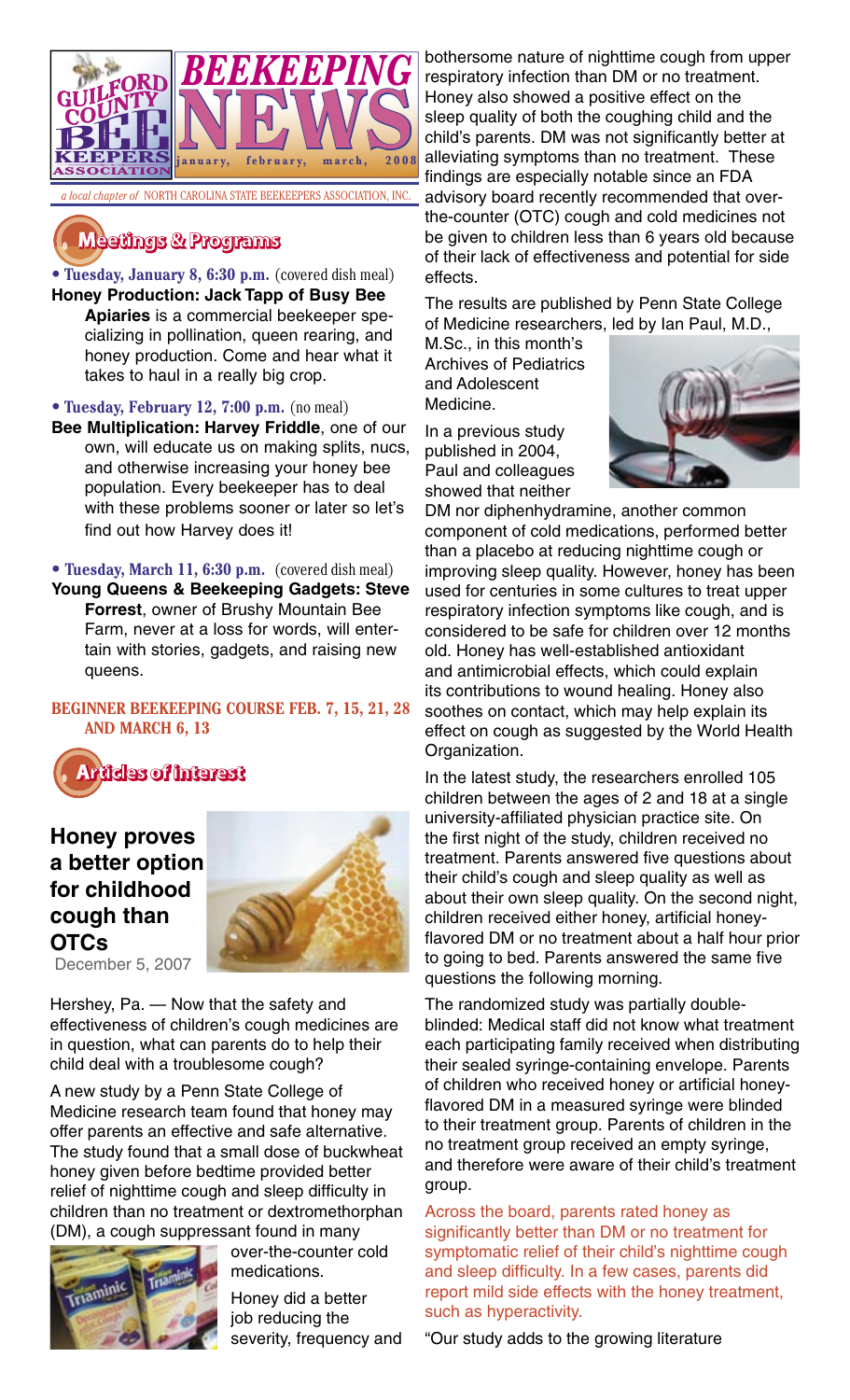

# **�������� � ��������**

• **Tuesday, January 8, 6:30 p.m.** (covered dish meal) **Honey Production: Jack Tapp of Busy Bee Apiaries** is a commercial beekeeper specializing in pollination, queen rearing, and honey production. Come and hear what it takes to haul in a really big crop.

• **Tuesday, February 12, 7:00 p.m.** (no meal)

**Bee Multiplication: Harvey Friddle**, one of our own, will educate us on making splits, nucs, and otherwise increasing your honey bee population. Every beekeeper has to deal with these problems sooner or later so let's find out how Harvey does it!

**• Tuesday, March 11, 6:30 p.m.** (covered dish meal) **Young Queens & Beekeeping Gadgets: Steve Forrest**, owner of Brushy Mountain Bee

Farm, never at a loss for words, will entertain with stories, gadgets, and raising new queens.

## **BEGINNER BEEKEEPING COURSE FEB. 7, 15, 21, 28 AND MARCH 6, 13**



# **Honey proves a better option for childhood cough than OTCs** December 5, 2007



Hershey, Pa. — Now that the safety and effectiveness of children's cough medicines are in question, what can parents do to help their child deal with a troublesome cough?

A new study by a Penn State College of Medicine research team found that honey may offer parents an effective and safe alternative. The study found that a small dose of buckwheat honey given before bedtime provided better relief of nighttime cough and sleep difficulty in children than no treatment or dextromethorphan (DM), a cough suppressant found in many



over-the-counter cold medications.

Honey did a better job reducing the severity, frequency and

bothersome nature of nighttime cough from upper respiratory infection than DM or no treatment. Honey also showed a positive effect on the sleep quality of both the coughing child and the child's parents. DM was not significantly better at alleviating symptoms than no treatment. These findings are especially notable since an FDA advisory board recently recommended that overthe-counter (OTC) cough and cold medicines not be given to children less than 6 years old because of their lack of effectiveness and potential for side effects.

The results are published by Penn State College of Medicine researchers, led by Ian Paul, M.D.,

M.Sc., in this month's Archives of Pediatrics and Adolescent Medicine.

In a previous study published in 2004, Paul and colleagues showed that neither



DM nor diphenhydramine, another common component of cold medications, performed better than a placebo at reducing nighttime cough or improving sleep quality. However, honey has been used for centuries in some cultures to treat upper respiratory infection symptoms like cough, and is considered to be safe for children over 12 months old. Honey has well-established antioxidant and antimicrobial effects, which could explain its contributions to wound healing. Honey also soothes on contact, which may help explain its effect on cough as suggested by the World Health Organization.

In the latest study, the researchers enrolled 105 children between the ages of 2 and 18 at a single university-affiliated physician practice site. On the first night of the study, children received no treatment. Parents answered five questions about their child's cough and sleep quality as well as about their own sleep quality. On the second night, children received either honey, artificial honeyflavored DM or no treatment about a half hour prior to going to bed. Parents answered the same five questions the following morning.

The randomized study was partially doubleblinded: Medical staff did not know what treatment each participating family received when distributing their sealed syringe-containing envelope. Parents of children who received honey or artificial honeyflavored DM in a measured syringe were blinded to their treatment group. Parents of children in the no treatment group received an empty syringe, and therefore were aware of their child's treatment group.

Across the board, parents rated honey as significantly better than DM or no treatment for symptomatic relief of their child's nighttime cough and sleep difficulty. In a few cases, parents did report mild side effects with the honey treatment, such as hyperactivity.

"Our study adds to the growing literature